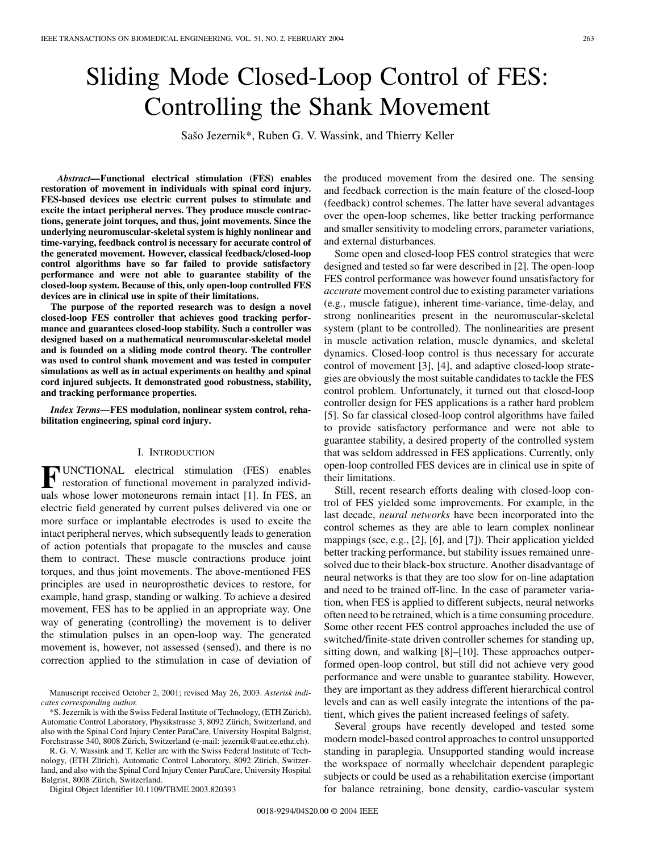# Sliding Mode Closed-Loop Control of FES: Controlling the Shank Movement

Sašo Jezernik\*, Ruben G. V. Wassink, and Thierry Keller

*Abstract—***Functional electrical stimulation (FES) enables restoration of movement in individuals with spinal cord injury. FES-based devices use electric current pulses to stimulate and excite the intact peripheral nerves. They produce muscle contractions, generate joint torques, and thus, joint movements. Since the underlying neuromuscular-skeletal system is highly nonlinear and time-varying, feedback control is necessary for accurate control of the generated movement. However, classical feedback/closed-loop control algorithms have so far failed to provide satisfactory performance and were not able to guarantee stability of the closed-loop system. Because of this, only open-loop controlled FES devices are in clinical use in spite of their limitations.**

**The purpose of the reported research was to design a novel closed-loop FES controller that achieves good tracking performance and guarantees closed-loop stability. Such a controller was designed based on a mathematical neuromuscular-skeletal model and is founded on a sliding mode control theory. The controller was used to control shank movement and was tested in computer simulations as well as in actual experiments on healthy and spinal cord injured subjects. It demonstrated good robustness, stability, and tracking performance properties.**

*Index Terms—***FES modulation, nonlinear system control, rehabilitation engineering, spinal cord injury.**

## I. INTRODUCTION

**F** UNCTIONAL electrical stimulation (FES) enables<br>restoration of functional movement in paralyzed individ-<br>website whose lower motonourons remain integral l.l. In FES and uals whose lower motoneurons remain intact [[1\]](#page-8-0). In FES, an electric field generated by current pulses delivered via one or more surface or implantable electrodes is used to excite the intact peripheral nerves, which subsequently leads to generation of action potentials that propagate to the muscles and cause them to contract. These muscle contractions produce joint torques, and thus joint movements. The above-mentioned FES principles are used in neuroprosthetic devices to restore, for example, hand grasp, standing or walking. To achieve a desired movement, FES has to be applied in an appropriate way. One way of generating (controlling) the movement is to deliver the stimulation pulses in an open-loop way. The generated movement is, however, not assessed (sensed), and there is no correction applied to the stimulation in case of deviation of

Manuscript received October 2, 2001; revised May 26, 2003. *Asterisk indicates corresponding author.*

\*S. Jezernik is with the Swiss Federal Institute of Technology, (ETH Zürich), Automatic Control Laboratory, Physikstrasse 3, 8092 Zürich, Switzerland, and also with the Spinal Cord Injury Center ParaCare, University Hospital Balgrist, Forchstrasse 340, 8008 Zürich, Switzerland (e-mail: jezernik@aut.ee.ethz.ch).

R. G. V. Wassink and T. Keller are with the Swiss Federal Institute of Technology, (ETH Zürich), Automatic Control Laboratory, 8092 Zürich, Switzerland, and also with the Spinal Cord Injury Center ParaCare, University Hospital Balgrist, 8008 Zürich, Switzerland.

Digital Object Identifier 10.1109/TBME.2003.820393

the produced movement from the desired one. The sensing and feedback correction is the main feature of the closed-loop (feedback) control schemes. The latter have several advantages over the open-loop schemes, like better tracking performance and smaller sensitivity to modeling errors, parameter variations, and external disturbances.

Some open and closed-loop FES control strategies that were designed and tested so far were described in [[2\]](#page-8-0). The open-loop FES control performance was however found unsatisfactory for *accurate* movement control due to existing parameter variations (e.g., muscle fatigue), inherent time-variance, time-delay, and strong nonlinearities present in the neuromuscular-skeletal system (plant to be controlled). The nonlinearities are present in muscle activation relation, muscle dynamics, and skeletal dynamics. Closed-loop control is thus necessary for accurate control of movement [\[3](#page-8-0)], [[4\]](#page-8-0), and adaptive closed-loop strategies are obviously the most suitable candidates to tackle the FES control problem. Unfortunately, it turned out that closed-loop controller design for FES applications is a rather hard problem [\[5](#page-8-0)]. So far classical closed-loop control algorithms have failed to provide satisfactory performance and were not able to guarantee stability, a desired property of the controlled system that was seldom addressed in FES applications. Currently, only open-loop controlled FES devices are in clinical use in spite of their limitations.

Still, recent research efforts dealing with closed-loop control of FES yielded some improvements. For example, in the last decade, *neural networks* have been incorporated into the control schemes as they are able to learn complex nonlinear mappings (see, e.g., [[2\]](#page-8-0), [\[6](#page-8-0)], and [[7\]](#page-8-0)). Their application yielded better tracking performance, but stability issues remained unresolved due to their black-box structure. Another disadvantage of neural networks is that they are too slow for on-line adaptation and need to be trained off-line. In the case of parameter variation, when FES is applied to different subjects, neural networks often need to be retrained, which is a time consuming procedure. Some other recent FES control approaches included the use of switched/finite-state driven controller schemes for standing up, sitting down, and walking [[8\]](#page-8-0)–[\[10](#page-8-0)]. These approaches outperformed open-loop control, but still did not achieve very good performance and were unable to guarantee stability. However, they are important as they address different hierarchical control levels and can as well easily integrate the intentions of the patient, which gives the patient increased feelings of safety.

Several groups have recently developed and tested some modern model-based control approaches to control unsupported standing in paraplegia. Unsupported standing would increase the workspace of normally wheelchair dependent paraplegic subjects or could be used as a rehabilitation exercise (important for balance retraining, bone density, cardio-vascular system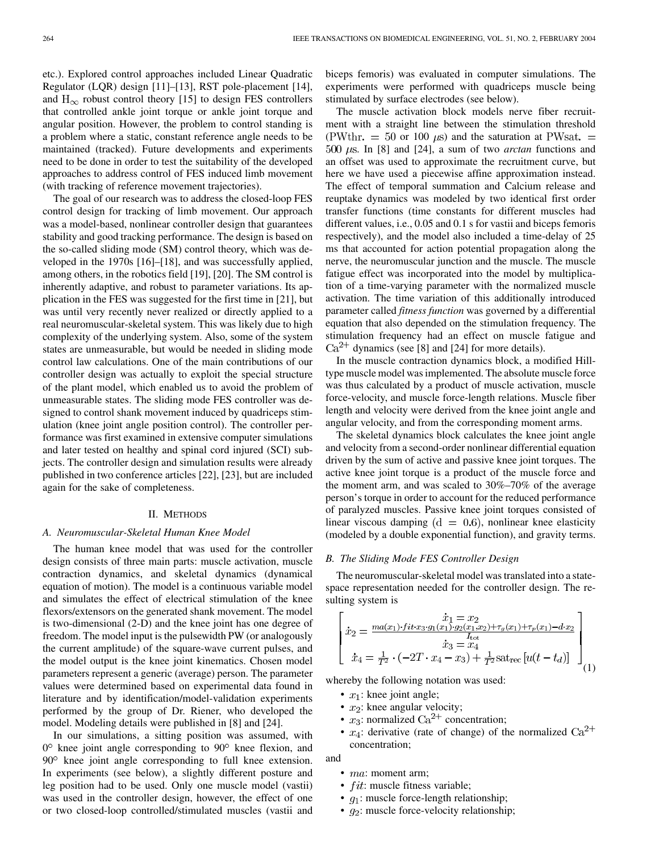etc.). Explored control approaches included Linear Quadratic Regulator (LQR) design [[11\]](#page-9-0)–[\[13](#page-9-0)], RST pole-placement [[14\]](#page-9-0), and  $H_{\infty}$  robust control theory [[15\]](#page-9-0) to design FES controllers that controlled ankle joint torque or ankle joint torque and angular position. However, the problem to control standing is a problem where a static, constant reference angle needs to be maintained (tracked). Future developments and experiments need to be done in order to test the suitability of the developed approaches to address control of FES induced limb movement (with tracking of reference movement trajectories).

The goal of our research was to address the closed-loop FES control design for tracking of limb movement. Our approach was a model-based, nonlinear controller design that guarantees stability and good tracking performance. The design is based on the so-called sliding mode (SM) control theory, which was developed in the 1970s [[16](#page-9-0)]–[\[18](#page-9-0)], and was successfully applied, among others, in the robotics field [\[19](#page-9-0)], [\[20](#page-9-0)]. The SM control is inherently adaptive, and robust to parameter variations. Its application in the FES was suggested for the first time in [\[21](#page-9-0)], but was until very recently never realized or directly applied to a real neuromuscular-skeletal system. This was likely due to high complexity of the underlying system. Also, some of the system states are unmeasurable, but would be needed in sliding mode control law calculations. One of the main contributions of our controller design was actually to exploit the special structure of the plant model, which enabled us to avoid the problem of unmeasurable states. The sliding mode FES controller was designed to control shank movement induced by quadriceps stimulation (knee joint angle position control). The controller performance was first examined in extensive computer simulations and later tested on healthy and spinal cord injured (SCI) subjects. The controller design and simulation results were already published in two conference articles [[22\]](#page-9-0), [\[23](#page-9-0)], but are included again for the sake of completeness.

# II. METHODS

# *A. Neuromuscular-Skeletal Human Knee Model*

The human knee model that was used for the controller design consists of three main parts: muscle activation, muscle contraction dynamics, and skeletal dynamics (dynamical equation of motion). The model is a continuous variable model and simulates the effect of electrical stimulation of the knee flexors/extensors on the generated shank movement. The model is two-dimensional (2-D) and the knee joint has one degree of freedom. The model input is the pulsewidth PW (or analogously the current amplitude) of the square-wave current pulses, and the model output is the knee joint kinematics. Chosen model parameters represent a generic (average) person. The parameter values were determined based on experimental data found in literature and by identification/model-validation experiments performed by the group of Dr. Riener, who developed the model. Modeling details were published in [\[8](#page-8-0)] and [\[24](#page-9-0)].

In our simulations, a sitting position was assumed, with  $0^{\circ}$  knee joint angle corresponding to  $90^{\circ}$  knee flexion, and  $90^\circ$  knee joint angle corresponding to full knee extension. In experiments (see below), a slightly different posture and leg position had to be used. Only one muscle model (vastii) was used in the controller design, however, the effect of one or two closed-loop controlled/stimulated muscles (vastii and biceps femoris) was evaluated in computer simulations. The experiments were performed with quadriceps muscle being stimulated by surface electrodes (see below).

The muscle activation block models nerve fiber recruitment with a straight line between the stimulation threshold (PWthr.  $= 50$  or 100  $\mu$ s) and the saturation at PWsat.  $=$ 500  $\mu$ s. In [[8\]](#page-8-0) and [\[24](#page-9-0)], a sum of two *arctan* functions and an offset was used to approximate the recruitment curve, but here we have used a piecewise affine approximation instead. The effect of temporal summation and Calcium release and reuptake dynamics was modeled by two identical first order transfer functions (time constants for different muscles had different values, i.e., 0.05 and 0.1 s for vastii and biceps femoris respectively), and the model also included a time-delay of 25 ms that accounted for action potential propagation along the nerve, the neuromuscular junction and the muscle. The muscle fatigue effect was incorporated into the model by multiplication of a time-varying parameter with the normalized muscle activation. The time variation of this additionally introduced parameter called *fitness function* was governed by a differential equation that also depended on the stimulation frequency. The stimulation frequency had an effect on muscle fatigue and  $Ca^{2+}$  dynamics (see [[8\]](#page-8-0) and [\[24](#page-9-0)] for more details).

In the muscle contraction dynamics block, a modified Hilltype muscle model was implemented. The absolute muscle force was thus calculated by a product of muscle activation, muscle force-velocity, and muscle force-length relations. Muscle fiber length and velocity were derived from the knee joint angle and angular velocity, and from the corresponding moment arms.

The skeletal dynamics block calculates the knee joint angle and velocity from a second-order nonlinear differential equation driven by the sum of active and passive knee joint torques. The active knee joint torque is a product of the muscle force and the moment arm, and was scaled to 30%–70% of the average person's torque in order to account for the reduced performance of paralyzed muscles. Passive knee joint torques consisted of linear viscous damping  $(d = 0.6)$ , nonlinear knee elasticity (modeled by a double exponential function), and gravity terms.

## *B. The Sliding Mode FES Controller Design*

The neuromuscular-skeletal model was translated into a statespace representation needed for the controller design. The resulting system is

$$
\begin{bmatrix}\n\dot{x}_1 = x_2 \\
\dot{x}_2 = \frac{ma(x_1) \cdot f i t \cdot x_3 \cdot g_1(x_1) \cdot g_2(x_1, x_2) + \tau_g(x_1) + \tau_p(x_1) - d \cdot x_2}{I_{\text{tot}}} \\
\dot{x}_3 = x_4 \\
\dot{x}_4 = \frac{1}{T^2} \cdot (-2T \cdot x_4 - x_3) + \frac{1}{T^2} \text{sat}_{\text{rec}} \left[ u(t - t_d) \right]\n\end{bmatrix}
$$
\n(1)

whereby the following notation was used:

- $x_1$ : knee joint angle;
- $x_2$ : knee angular velocity;
- $x_3$ : normalized Ca<sup>2+</sup> concentration;
- $x_4$ : derivative (rate of change) of the normalized  $Ca^{2+}$ concentration;

and

- $ma$ : moment arm;
- $fit:$  muscle fitness variable;
- $q_1$ : muscle force-length relationship;
- $g_2$ : muscle force-velocity relationship;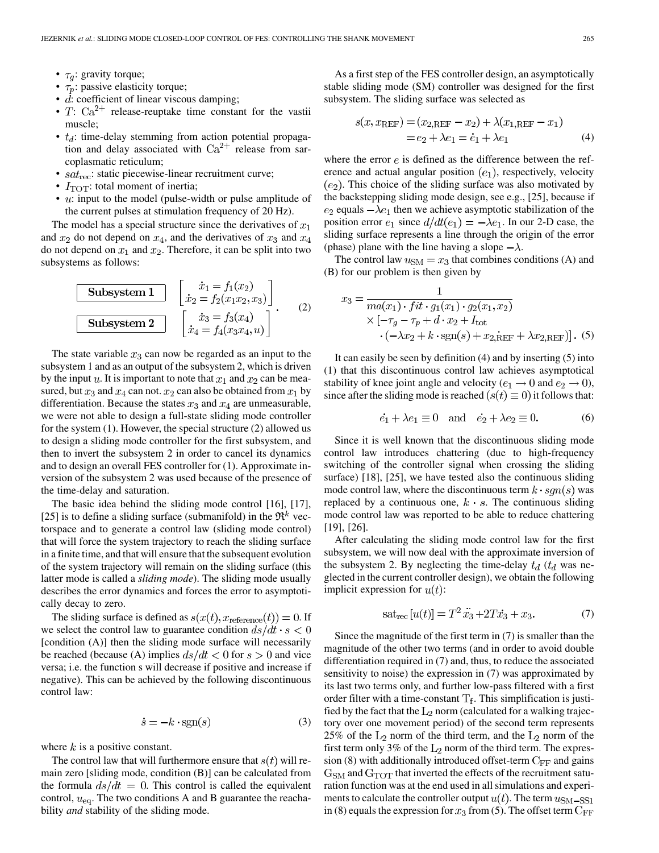- $\tau_q$ : gravity torque;
- $\tau_p$ : passive elasticity torque;
- $\bullet$  d: coefficient of linear viscous damping;
- $T: Ca^{2+}$  release-reuptake time constant for the vastii muscle;
- $t_d$ : time-delay stemming from action potential propagation and delay associated with  $Ca^{2+}$  release from sarcoplasmatic reticulum;
- $sat_{rec}$ : static piecewise-linear recruitment curve;
- $I_{\text{TOT}}$ : total moment of inertia;
- $u$ : input to the model (pulse-width or pulse amplitude of the current pulses at stimulation frequency of 20 Hz).

The model has a special structure since the derivatives of  $x_1$ and  $x_2$  do not depend on  $x_4$ , and the derivatives of  $x_3$  and  $x_4$ do not depend on  $x_1$  and  $x_2$ . Therefore, it can be split into two subsystems as follows:

| Subsystem 1 | \n $\begin{bmatrix}\n \dot{x}_1 = f_1(x_2) \\  \dot{x}_2 = f_2(x_1x_2, x_3)\n \end{bmatrix}$ \n |
|-------------|-------------------------------------------------------------------------------------------------|
| Subsystem 2 | \n $\begin{bmatrix}\n \dot{x}_3 = f_3(x_4) \\  \dot{x}_4 = f_4(x_3x_4, u)\n \end{bmatrix}$ \n   |

The state variable  $x_3$  can now be regarded as an input to the subsystem 1 and as an output of the subsystem 2, which is driven by the input  $u$ . It is important to note that  $x_1$  and  $x_2$  can be measured, but  $x_3$  and  $x_4$  can not.  $x_2$  can also be obtained from  $x_1$  by differentiation. Because the states  $x_3$  and  $x_4$  are unmeasurable, we were not able to design a full-state sliding mode controller for the system (1). However, the special structure (2) allowed us to design a sliding mode controller for the first subsystem, and then to invert the subsystem 2 in order to cancel its dynamics and to design an overall FES controller for (1). Approximate inversion of the subsystem 2 was used because of the presence of the time-delay and saturation.

The basic idea behind the sliding mode control [[16\]](#page-9-0), [\[17](#page-9-0)], [\[25](#page-9-0)] is to define a sliding surface (submanifold) in the  $\mathfrak{R}^k$  vectorspace and to generate a control law (sliding mode control) that will force the system trajectory to reach the sliding surface in a finite time, and that will ensure that the subsequent evolution of the system trajectory will remain on the sliding surface (this latter mode is called a *sliding mode*). The sliding mode usually describes the error dynamics and forces the error to asymptotically decay to zero.

The sliding surface is defined as  $s(x(t), x_{\text{reference}}(t)) = 0$ . If we select the control law to guarantee condition  $ds/dt \cdot s < 0$ [condition (A)] then the sliding mode surface will necessarily be reached (because (A) implies  $ds/dt < 0$  for  $s > 0$  and vice versa; i.e. the function s will decrease if positive and increase if negative). This can be achieved by the following discontinuous control law:

$$
\dot{s} = -k \cdot \text{sgn}(s) \tag{3}
$$

where  $k$  is a positive constant.

The control law that will furthermore ensure that  $s(t)$  will remain zero [sliding mode, condition (B)] can be calculated from the formula  $ds/dt = 0$ . This control is called the equivalent control,  $u_{eq}$ . The two conditions A and B guarantee the reachability *and* stability of the sliding mode.

As a first step of the FES controller design, an asymptotically stable sliding mode (SM) controller was designed for the first subsystem. The sliding surface was selected as

$$
s(x, x_{\text{REF}}) = (x_{2,\text{REF}} - x_2) + \lambda (x_{1,\text{REF}} - x_1)
$$
  
=  $e_2 + \lambda e_1 = \dot{e}_1 + \lambda e_1$  (4)

where the error  $e$  is defined as the difference between the reference and actual angular position  $(e_1)$ , respectively, velocity  $(e_2)$ . This choice of the sliding surface was also motivated by the backstepping sliding mode design, see e.g., [[25\]](#page-9-0), because if  $e_2$  equals  $-\lambda e_1$  then we achieve asymptotic stabilization of the position error  $e_1$  since  $d/dt(e_1) = -\lambda e_1$ . In our 2-D case, the sliding surface represents a line through the origin of the error (phase) plane with the line having a slope  $-\lambda$ .

The control law  $u_{\text{SM}} = x_3$  that combines conditions (A) and (B) for our problem is then given by

$$
x_3 = \frac{1}{ma(x_1) \cdot fit \cdot g_1(x_1) \cdot g_2(x_1, x_2)}
$$
  
×  $[-\tau_g - \tau_p + d \cdot x_2 + I_{\text{tot}} \cdot (-\lambda x_2 + k \cdot \text{sgn}(s) + x_2, \text{REF} + \lambda x_2, \text{REF}}]$ . (5)

It can easily be seen by definition (4) and by inserting (5) into (1) that this discontinuous control law achieves asymptotical stability of knee joint angle and velocity ( $e_1 \rightarrow 0$  and  $e_2 \rightarrow 0$ ), since after the sliding mode is reached  $(s(t) \equiv 0)$  it follows that:

$$
\dot{e_1} + \lambda e_1 \equiv 0 \quad \text{and} \quad \dot{e_2} + \lambda e_2 \equiv 0. \tag{6}
$$

Since it is well known that the discontinuous sliding mode control law introduces chattering (due to high-frequency switching of the controller signal when crossing the sliding surface) [[18\]](#page-9-0), [[25\]](#page-9-0), we have tested also the continuous sliding mode control law, where the discontinuous term  $k \cdot sgn(s)$  was replaced by a continuous one,  $k \cdot s$ . The continuous sliding mode control law was reported to be able to reduce chattering [\[19](#page-9-0)], [[26\]](#page-9-0).

After calculating the sliding mode control law for the first subsystem, we will now deal with the approximate inversion of the subsystem 2. By neglecting the time-delay  $t_d$  ( $t_d$  was neglected in the current controller design), we obtain the following implicit expression for  $u(t)$ :

$$
sat_{rec}[u(t)] = T^2 \ddot{x}_3 + 2T\dot{x}_3 + x_3. \tag{7}
$$

Since the magnitude of the first term in (7) is smaller than the magnitude of the other two terms (and in order to avoid double differentiation required in (7) and, thus, to reduce the associated sensitivity to noise) the expression in (7) was approximated by its last two terms only, and further low-pass filtered with a first order filter with a time-constant  $T_f$ . This simplification is justified by the fact that the  $L_2$  norm (calculated for a walking trajectory over one movement period) of the second term represents 25% of the  $L_2$  norm of the third term, and the  $L_2$  norm of the first term only 3% of the  $L_2$  norm of the third term. The expression (8) with additionally introduced offset-term  $C_{\text{FF}}$  and gains  $G<sub>SM</sub>$  and  $G<sub>TOT</sub>$  that inverted the effects of the recruitment saturation function was at the end used in all simulations and experiments to calculate the controller output  $u(t)$ . The term  $u_{\rm SM-SS1}$ in (8) equals the expression for  $x_3$  from (5). The offset term  $C_{\rm FF}$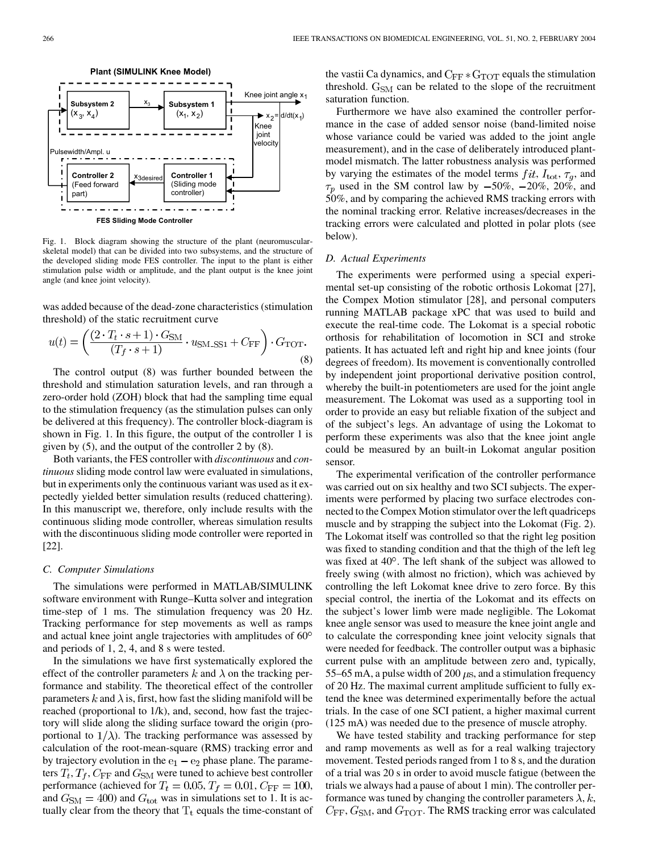

Fig. 1. Block diagram showing the structure of the plant (neuromuscularskeletal model) that can be divided into two subsystems, and the structure of the developed sliding mode FES controller. The input to the plant is either stimulation pulse width or amplitude, and the plant output is the knee joint angle (and knee joint velocity).

was added because of the dead-zone characteristics (stimulation threshold) of the static recruitment curve

$$
u(t) = \left(\frac{(2 \cdot T_t \cdot s + 1) \cdot G_{\text{SM}}}{(T_f \cdot s + 1)} \cdot u_{\text{SM}} \cdot \text{SS1} + C_{\text{FF}}\right) \cdot G_{\text{TOT}}.\tag{8}
$$

The control output (8) was further bounded between the threshold and stimulation saturation levels, and ran through a zero-order hold (ZOH) block that had the sampling time equal to the stimulation frequency (as the stimulation pulses can only be delivered at this frequency). The controller block-diagram is shown in Fig. 1. In this figure, the output of the controller 1 is given by (5), and the output of the controller 2 by (8).

Both variants, the FES controller with *discontinuous* and *continuous* sliding mode control law were evaluated in simulations, but in experiments only the continuous variant was used as it expectedly yielded better simulation results (reduced chattering). In this manuscript we, therefore, only include results with the continuous sliding mode controller, whereas simulation results with the discontinuous sliding mode controller were reported in [[22\]](#page-9-0).

#### *C. Computer Simulations*

The simulations were performed in MATLAB/SIMULINK software environment with Runge–Kutta solver and integration time-step of 1 ms. The stimulation frequency was 20 Hz. Tracking performance for step movements as well as ramps and actual knee joint angle trajectories with amplitudes of 60 and periods of 1, 2, 4, and 8 s were tested.

In the simulations we have first systematically explored the effect of the controller parameters k and  $\lambda$  on the tracking performance and stability. The theoretical effect of the controller parameters k and  $\lambda$  is, first, how fast the sliding manifold will be reached (proportional to 1/k), and, second, how fast the trajectory will slide along the sliding surface toward the origin (proportional to  $1/\lambda$ ). The tracking performance was assessed by calculation of the root-mean-square (RMS) tracking error and by trajectory evolution in the  $e_1 - e_2$  phase plane. The parameters  $T_t$ ,  $T_f$ ,  $C_{\text{FF}}$  and  $G_{\text{SM}}$  were tuned to achieve best controller performance (achieved for  $T_t = 0.05, T_f = 0.01, C_{FF} = 100,$ and  $G_{SM} = 400$ ) and  $G_{tot}$  was in simulations set to 1. It is actually clear from the theory that  $T_t$  equals the time-constant of the vastii Ca dynamics, and  $C_{FF} * G_{TOT}$  equals the stimulation threshold.  $G<sub>SM</sub>$  can be related to the slope of the recruitment saturation function.

Furthermore we have also examined the controller performance in the case of added sensor noise (band-limited noise whose variance could be varied was added to the joint angle measurement), and in the case of deliberately introduced plantmodel mismatch. The latter robustness analysis was performed by varying the estimates of the model terms  $fit, I_{tot}, \tau_q$ , and  $\tau_p$  used in the SM control law by  $-50\%$ ,  $-20\%$ , 20%, and 50%, and by comparing the achieved RMS tracking errors with the nominal tracking error. Relative increases/decreases in the tracking errors were calculated and plotted in polar plots (see below).

## *D. Actual Experiments*

The experiments were performed using a special experimental set-up consisting of the robotic orthosis Lokomat [[27\]](#page-9-0), the Compex Motion stimulator [[28\]](#page-9-0), and personal computers running MATLAB package xPC that was used to build and execute the real-time code. The Lokomat is a special robotic orthosis for rehabilitation of locomotion in SCI and stroke patients. It has actuated left and right hip and knee joints (four degrees of freedom). Its movement is conventionally controlled by independent joint proportional derivative position control, whereby the built-in potentiometers are used for the joint angle measurement. The Lokomat was used as a supporting tool in order to provide an easy but reliable fixation of the subject and of the subject's legs. An advantage of using the Lokomat to perform these experiments was also that the knee joint angle could be measured by an built-in Lokomat angular position sensor.

The experimental verification of the controller performance was carried out on six healthy and two SCI subjects. The experiments were performed by placing two surface electrodes connected to the Compex Motion stimulator over the left quadriceps muscle and by strapping the subject into the Lokomat (Fig. 2). The Lokomat itself was controlled so that the right leg position was fixed to standing condition and that the thigh of the left leg was fixed at  $40^\circ$ . The left shank of the subject was allowed to freely swing (with almost no friction), which was achieved by controlling the left Lokomat knee drive to zero force. By this special control, the inertia of the Lokomat and its effects on the subject's lower limb were made negligible. The Lokomat knee angle sensor was used to measure the knee joint angle and to calculate the corresponding knee joint velocity signals that were needed for feedback. The controller output was a biphasic current pulse with an amplitude between zero and, typically, 55–65 mA, a pulse width of 200  $\mu$ s, and a stimulation frequency of 20 Hz. The maximal current amplitude sufficient to fully extend the knee was determined experimentally before the actual trials. In the case of one SCI patient, a higher maximal current (125 mA) was needed due to the presence of muscle atrophy.

We have tested stability and tracking performance for step and ramp movements as well as for a real walking trajectory movement. Tested periods ranged from 1 to 8 s, and the duration of a trial was 20 s in order to avoid muscle fatigue (between the trials we always had a pause of about 1 min). The controller performance was tuned by changing the controller parameters  $\lambda$ , k,  $C_{\text{FF}}$ ,  $G_{\text{SM}}$ , and  $G_{\text{TOT}}$ . The RMS tracking error was calculated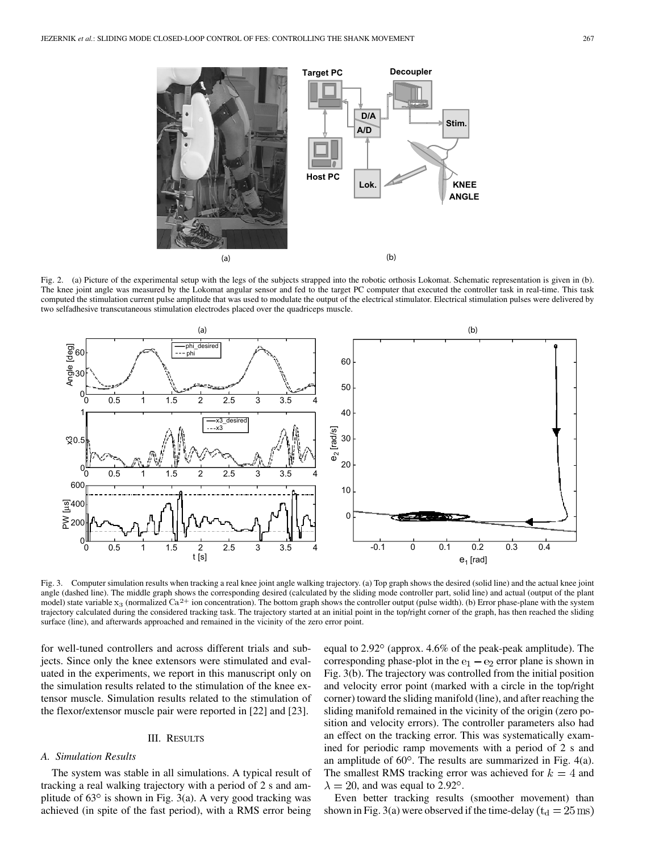

Fig. 2. (a) Picture of the experimental setup with the legs of the subjects strapped into the robotic orthosis Lokomat. Schematic representation is given in (b). The knee joint angle was measured by the Lokomat angular sensor and fed to the target PC computer that executed the controller task in real-time. This task computed the stimulation current pulse amplitude that was used to modulate the output of the electrical stimulator. Electrical stimulation pulses were delivered by two selfadhesive transcutaneous stimulation electrodes placed over the quadriceps muscle.



Fig. 3. Computer simulation results when tracking a real knee joint angle walking trajectory. (a) Top graph shows the desired (solid line) and the actual knee joint angle (dashed line). The middle graph shows the corresponding desired (calculated by the sliding mode controller part, solid line) and actual (output of the plant model) state variable  $x_3$  (normalized  $Ca^{2+}$  ion concentration). The bottom graph shows the controller output (pulse width). (b) Error phase-plane with the system trajectory calculated during the considered tracking task. The trajectory started at an initial point in the top/right corner of the graph, has then reached the sliding surface (line), and afterwards approached and remained in the vicinity of the zero error point.

for well-tuned controllers and across different trials and subjects. Since only the knee extensors were stimulated and evaluated in the experiments, we report in this manuscript only on the simulation results related to the stimulation of the knee extensor muscle. Simulation results related to the stimulation of the flexor/extensor muscle pair were reported in [\[22](#page-9-0)] and [\[23](#page-9-0)].

## III. RESULTS

# *A. Simulation Results*

The system was stable in all simulations. A typical result of tracking a real walking trajectory with a period of 2 s and amplitude of  $63^\circ$  is shown in Fig. 3(a). A very good tracking was achieved (in spite of the fast period), with a RMS error being equal to  $2.92^{\circ}$  (approx. 4.6% of the peak-peak amplitude). The corresponding phase-plot in the  $e_1 - e_2$  error plane is shown in Fig. 3(b). The trajectory was controlled from the initial position and velocity error point (marked with a circle in the top/right corner) toward the sliding manifold (line), and after reaching the sliding manifold remained in the vicinity of the origin (zero position and velocity errors). The controller parameters also had an effect on the tracking error. This was systematically examined for periodic ramp movements with a period of 2 s and an amplitude of  $60^\circ$ . The results are summarized in Fig. 4(a). The smallest RMS tracking error was achieved for  $k = 4$  and  $\lambda = 20$ , and was equal to 2.92°.

Even better tracking results (smoother movement) than shown in Fig. 3(a) were observed if the time-delay ( $t_d = 25 \text{ ms}$ )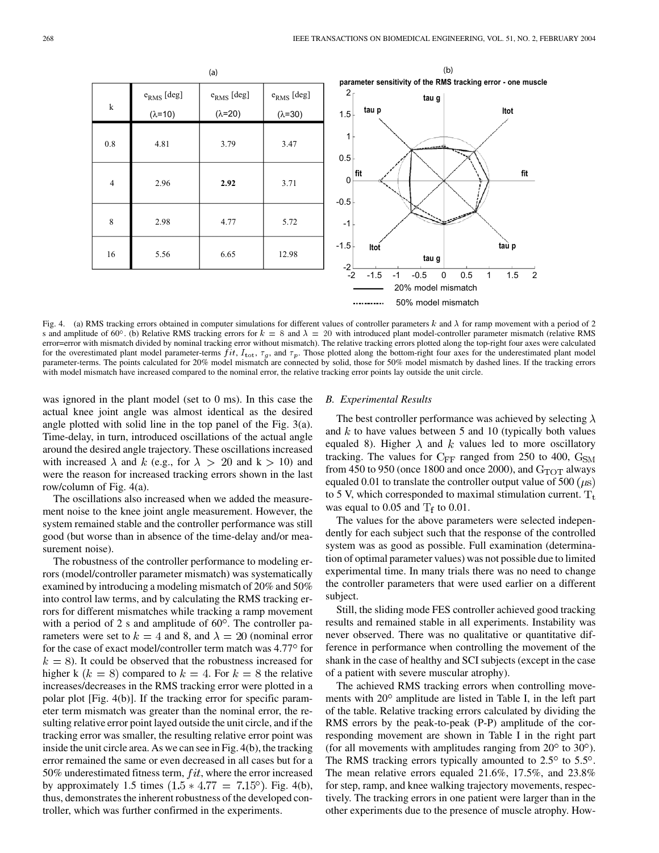| (u)            |                                       |                                   |                                   |  |  |  |  |
|----------------|---------------------------------------|-----------------------------------|-----------------------------------|--|--|--|--|
| $\mathbf k$    | $\rm e_{RMS}$ [deg]<br>$(\lambda=10)$ | $e_{RMS}$ [deg]<br>$(\lambda=20)$ | $e_{RMS}$ [deg]<br>$(\lambda=30)$ |  |  |  |  |
| 0.8            | 4.81                                  | 3.79                              | 3.47                              |  |  |  |  |
| $\overline{4}$ | 2.96                                  | 2.92                              | 3.71                              |  |  |  |  |
| 8              | 2.98                                  | 4.77                              | 5.72                              |  |  |  |  |
| 16             | 5.56                                  | 6.65                              | 12.98                             |  |  |  |  |



Fig. 4. (a) RMS tracking errors obtained in computer simulations for different values of controller parameters k and  $\lambda$  for ramp movement with a period of 2 s and amplitude of 60°. (b) Relative RMS tracking errors for  $k = 8$  and  $\lambda = 20$  with introduced plant model-controller parameter mismatch (relative RMS error=error with mismatch divided by nominal tracking error without mismatch). The relative tracking errors plotted along the top-right four axes were calculated for the overestimated plant model parameter-terms  $fit$ ,  $I_{\text{tot}}$ ,  $\tau_g$ , and  $\tau_p$ . Those plotted along the bottom-right four axes for the underestimated plant model parameter-terms. The points calculated for 20% model mismatch are connected by solid, those for 50% model mismatch by dashed lines. If the tracking errors with model mismatch have increased compared to the nominal error, the relative tracking error points lay outside the unit circle.

was ignored in the plant model (set to 0 ms). In this case the actual knee joint angle was almost identical as the desired angle plotted with solid line in the top panel of the Fig. 3(a). Time-delay, in turn, introduced oscillations of the actual angle around the desired angle trajectory. These oscillations increased with increased  $\lambda$  and k (e.g., for  $\lambda > 20$  and k > 10) and were the reason for increased tracking errors shown in the last row/column of Fig. 4(a).

The oscillations also increased when we added the measurement noise to the knee joint angle measurement. However, the system remained stable and the controller performance was still good (but worse than in absence of the time-delay and/or measurement noise).

The robustness of the controller performance to modeling errors (model/controller parameter mismatch) was systematically examined by introducing a modeling mismatch of 20% and 50% into control law terms, and by calculating the RMS tracking errors for different mismatches while tracking a ramp movement with a period of 2 s and amplitude of  $60^\circ$ . The controller parameters were set to  $k = 4$  and 8, and  $\lambda = 20$  (nominal error for the case of exact model/controller term match was 4.77° for  $k = 8$ ). It could be observed that the robustness increased for higher k  $(k = 8)$  compared to  $k = 4$ . For  $k = 8$  the relative increases/decreases in the RMS tracking error were plotted in a polar plot [Fig. 4(b)]. If the tracking error for specific parameter term mismatch was greater than the nominal error, the resulting relative error point layed outside the unit circle, and if the tracking error was smaller, the resulting relative error point was inside the unit circle area. As we can see in Fig. 4(b), the tracking error remained the same or even decreased in all cases but for a 50% underestimated fitness term,  $fit$ , where the error increased by approximately 1.5 times  $(1.5 * 4.77 = 7.15^{\circ})$ . Fig. 4(b), thus, demonstrates the inherent robustness of the developed controller, which was further confirmed in the experiments.

#### *B. Experimental Results*

The best controller performance was achieved by selecting  $\lambda$ and  $k$  to have values between 5 and 10 (typically both values equaled 8). Higher  $\lambda$  and  $k$  values led to more oscillatory tracking. The values for  $C_{\text{FF}}$  ranged from 250 to 400,  $G_{\text{SM}}$ from 450 to 950 (once 1800 and once 2000), and  $G_{TOT}$  always equaled 0.01 to translate the controller output value of 500  $(\mu s)$ to 5 V, which corresponded to maximal stimulation current.  $T_t$ was equal to 0.05 and  $T_f$  to 0.01.

The values for the above parameters were selected independently for each subject such that the response of the controlled system was as good as possible. Full examination (determination of optimal parameter values) was not possible due to limited experimental time. In many trials there was no need to change the controller parameters that were used earlier on a different subject.

Still, the sliding mode FES controller achieved good tracking results and remained stable in all experiments. Instability was never observed. There was no qualitative or quantitative difference in performance when controlling the movement of the shank in the case of healthy and SCI subjects (except in the case of a patient with severe muscular atrophy).

The achieved RMS tracking errors when controlling movements with  $20^{\circ}$  amplitude are listed in Table I, in the left part of the table. Relative tracking errors calculated by dividing the RMS errors by the peak-to-peak (P-P) amplitude of the corresponding movement are shown in Table I in the right part (for all movements with amplitudes ranging from  $20^{\circ}$  to  $30^{\circ}$ ). The RMS tracking errors typically amounted to  $2.5^\circ$  to  $5.5^\circ$ . The mean relative errors equaled 21.6%, 17.5%, and 23.8% for step, ramp, and knee walking trajectory movements, respectively. The tracking errors in one patient were larger than in the other experiments due to the presence of muscle atrophy. How-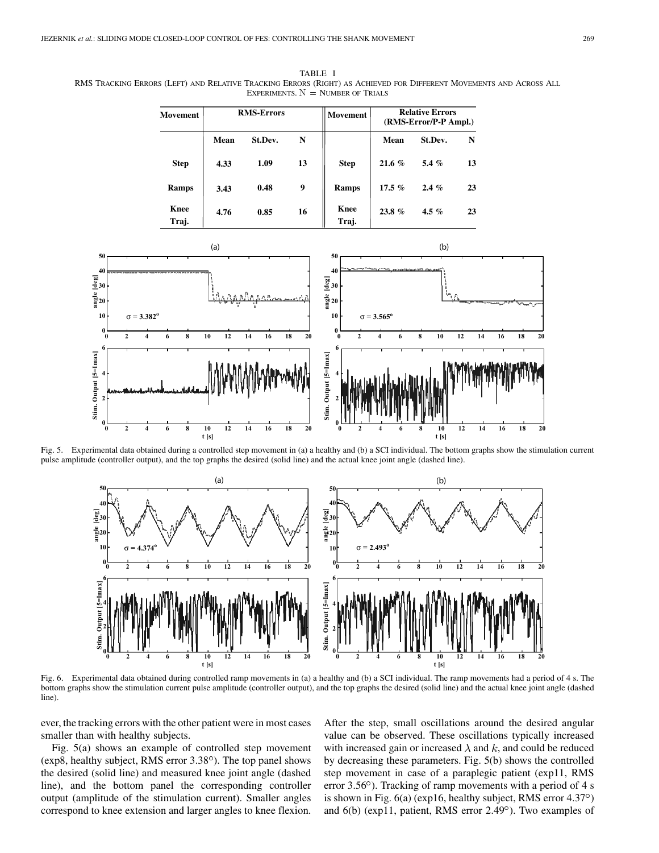TABLE I RMS TRACKING ERRORS (LEFT) AND RELATIVE TRACKING ERRORS (RIGHT) AS ACHIEVED FOR DIFFERENT MOVEMENTS AND ACROSS ALL EXPERIMENTS.  $N =$  NUMBER OF TRIALS

| Movement      | <b>RMS-Errors</b> |         |    | Movement             | <b>Relative Errors</b><br>(RMS-Error/P-P Ampl.) |         |    |
|---------------|-------------------|---------|----|----------------------|-------------------------------------------------|---------|----|
|               | Mean              | St.Dev. | N  |                      | Mean                                            | St.Dev. | N  |
| <b>Step</b>   | 4.33              | 1.09    | 13 | <b>Step</b>          | 21.6%                                           | 5.4 $%$ | 13 |
| Ramps         | 3.43              | 0.48    | 9  | Ramps                | $17.5\%$                                        | $2.4\%$ | 23 |
| Knee<br>Traj. | 4.76              | 0.85    | 16 | <b>Knee</b><br>Traj. | 23.8%                                           | 4.5 $%$ | 23 |



Fig. 5. Experimental data obtained during a controlled step movement in (a) a healthy and (b) a SCI individual. The bottom graphs show the stimulation current pulse amplitude (controller output), and the top graphs the desired (solid line) and the actual knee joint angle (dashed line).



Fig. 6. Experimental data obtained during controlled ramp movements in (a) a healthy and (b) a SCI individual. The ramp movements had a period of 4 s. The bottom graphs show the stimulation current pulse amplitude (controller output), and the top graphs the desired (solid line) and the actual knee joint angle (dashed line).

ever, the tracking errors with the other patient were in most cases smaller than with healthy subjects.

Fig. 5(a) shows an example of controlled step movement (exp8, healthy subject, RMS error 3.38°). The top panel shows the desired (solid line) and measured knee joint angle (dashed line), and the bottom panel the corresponding controller output (amplitude of the stimulation current). Smaller angles correspond to knee extension and larger angles to knee flexion.

After the step, small oscillations around the desired angular value can be observed. These oscillations typically increased with increased gain or increased  $\lambda$  and  $k$ , and could be reduced by decreasing these parameters. Fig. 5(b) shows the controlled step movement in case of a paraplegic patient (exp11, RMS error  $3.56^\circ$ ). Tracking of ramp movements with a period of 4 s is shown in Fig.  $6(a)$  (exp16, healthy subject, RMS error 4.37 $^{\circ}$ ) and  $6(b)$  (exp11, patient, RMS error 2.49 $^{\circ}$ ). Two examples of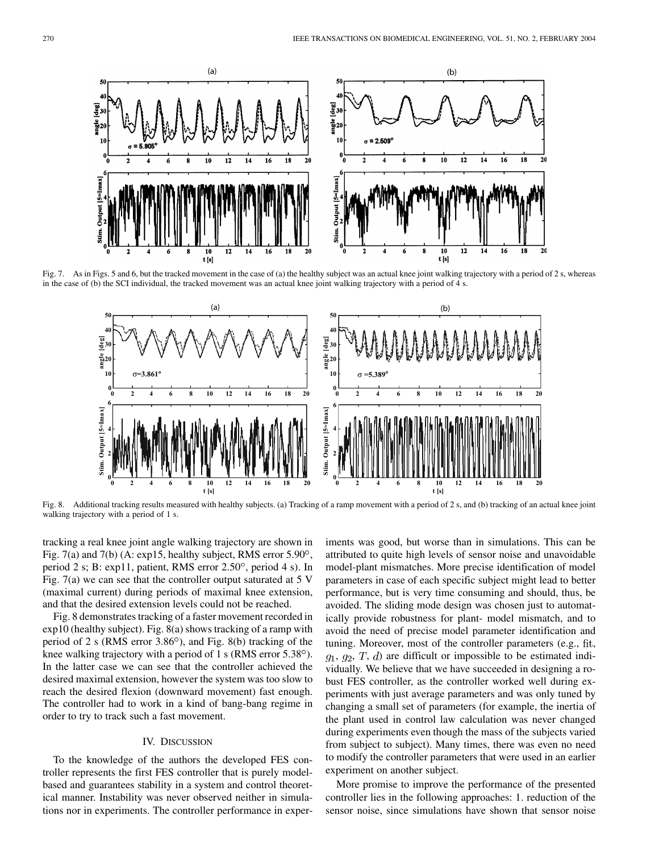

Fig. 7. As in Figs. 5 and 6, but the tracked movement in the case of (a) the healthy subject was an actual knee joint walking trajectory with a period of 2 s, whereas in the case of (b) the SCI individual, the tracked movement was an actual knee joint walking trajectory with a period of 4 s.



Fig. 8. Additional tracking results measured with healthy subjects. (a) Tracking of a ramp movement with a period of 2 s, and (b) tracking of an actual knee joint walking trajectory with a period of 1 s.

tracking a real knee joint angle walking trajectory are shown in Fig. 7(a) and 7(b) (A:  $\exp 15$ , healthy subject, RMS error 5.90 $^{\circ}$ , period 2 s; B: exp11, patient, RMS error 2.50°, period 4 s). In Fig. 7(a) we can see that the controller output saturated at 5 V (maximal current) during periods of maximal knee extension, and that the desired extension levels could not be reached.

Fig. 8 demonstrates tracking of a faster movement recorded in exp10 (healthy subject). Fig. 8(a) shows tracking of a ramp with period of 2 s (RMS error  $3.86^\circ$ ), and Fig. 8(b) tracking of the knee walking trajectory with a period of 1 s (RMS error  $5.38^\circ$ ). In the latter case we can see that the controller achieved the desired maximal extension, however the system was too slow to reach the desired flexion (downward movement) fast enough. The controller had to work in a kind of bang-bang regime in order to try to track such a fast movement.

#### IV. DISCUSSION

To the knowledge of the authors the developed FES controller represents the first FES controller that is purely modelbased and guarantees stability in a system and control theoretical manner. Instability was never observed neither in simulations nor in experiments. The controller performance in experiments was good, but worse than in simulations. This can be attributed to quite high levels of sensor noise and unavoidable model-plant mismatches. More precise identification of model parameters in case of each specific subject might lead to better performance, but is very time consuming and should, thus, be avoided. The sliding mode design was chosen just to automatically provide robustness for plant- model mismatch, and to avoid the need of precise model parameter identification and tuning. Moreover, most of the controller parameters  $(e.g., fit,$  $g_1, g_2, T, d$  are difficult or impossible to be estimated individually. We believe that we have succeeded in designing a robust FES controller, as the controller worked well during experiments with just average parameters and was only tuned by changing a small set of parameters (for example, the inertia of the plant used in control law calculation was never changed during experiments even though the mass of the subjects varied from subject to subject). Many times, there was even no need to modify the controller parameters that were used in an earlier experiment on another subject.

More promise to improve the performance of the presented controller lies in the following approaches: 1. reduction of the sensor noise, since simulations have shown that sensor noise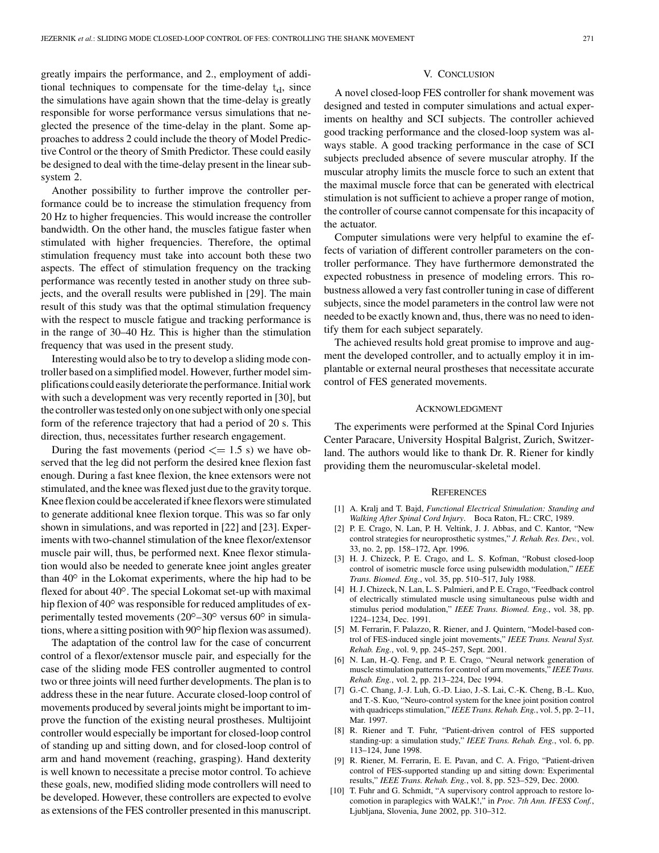<span id="page-8-0"></span>greatly impairs the performance, and 2., employment of additional techniques to compensate for the time-delay  $t_d$ , since the simulations have again shown that the time-delay is greatly responsible for worse performance versus simulations that neglected the presence of the time-delay in the plant. Some approaches to address 2 could include the theory of Model Predictive Control or the theory of Smith Predictor. These could easily be designed to deal with the time-delay present in the linear subsystem 2.

Another possibility to further improve the controller performance could be to increase the stimulation frequency from 20 Hz to higher frequencies. This would increase the controller bandwidth. On the other hand, the muscles fatigue faster when stimulated with higher frequencies. Therefore, the optimal stimulation frequency must take into account both these two aspects. The effect of stimulation frequency on the tracking performance was recently tested in another study on three subjects, and the overall results were published in [[29\]](#page-9-0). The main result of this study was that the optimal stimulation frequency with the respect to muscle fatigue and tracking performance is in the range of 30–40 Hz. This is higher than the stimulation frequency that was used in the present study.

Interesting would also be to try to develop a sliding mode controller based on a simplified model. However, further model simplifications could easily deteriorate the performance. Initial work with such a development was very recently reported in [[30\]](#page-9-0), but the controller was testedonly on one subjectwith only one special form of the reference trajectory that had a period of 20 s. This direction, thus, necessitates further research engagement.

During the fast movements (period  $\leq$  = 1.5 s) we have observed that the leg did not perform the desired knee flexion fast enough. During a fast knee flexion, the knee extensors were not stimulated, and the knee was flexed just due to the gravity torque. Knee flexion could be accelerated if knee flexors were stimulated to generate additional knee flexion torque. This was so far only shown in simulations, and was reported in [[22\]](#page-9-0) and [\[23](#page-9-0)]. Experiments with two-channel stimulation of the knee flexor/extensor muscle pair will, thus, be performed next. Knee flexor stimulation would also be needed to generate knee joint angles greater than  $40^{\circ}$  in the Lokomat experiments, where the hip had to be flexed for about  $40^\circ$ . The special Lokomat set-up with maximal hip flexion of  $40^{\circ}$  was responsible for reduced amplitudes of experimentally tested movements  $(20^{\circ}-30^{\circ}$  versus 60° in simulations, where a sitting position with  $90^\circ$  hip flexion was assumed).

The adaptation of the control law for the case of concurrent control of a flexor/extensor muscle pair, and especially for the case of the sliding mode FES controller augmented to control two or three joints will need further developments. The plan is to address these in the near future. Accurate closed-loop control of movements produced by several joints might be important to improve the function of the existing neural prostheses. Multijoint controller would especially be important for closed-loop control of standing up and sitting down, and for closed-loop control of arm and hand movement (reaching, grasping). Hand dexterity is well known to necessitate a precise motor control. To achieve these goals, new, modified sliding mode controllers will need to be developed. However, these controllers are expected to evolve as extensions of the FES controller presented in this manuscript.

# V. CONCLUSION

A novel closed-loop FES controller for shank movement was designed and tested in computer simulations and actual experiments on healthy and SCI subjects. The controller achieved good tracking performance and the closed-loop system was always stable. A good tracking performance in the case of SCI subjects precluded absence of severe muscular atrophy. If the muscular atrophy limits the muscle force to such an extent that the maximal muscle force that can be generated with electrical stimulation is not sufficient to achieve a proper range of motion, the controller of course cannot compensate for this incapacity of the actuator.

Computer simulations were very helpful to examine the effects of variation of different controller parameters on the controller performance. They have furthermore demonstrated the expected robustness in presence of modeling errors. This robustness allowed a very fast controller tuning in case of different subjects, since the model parameters in the control law were not needed to be exactly known and, thus, there was no need to identify them for each subject separately.

The achieved results hold great promise to improve and augment the developed controller, and to actually employ it in implantable or external neural prostheses that necessitate accurate control of FES generated movements.

## ACKNOWLEDGMENT

The experiments were performed at the Spinal Cord Injuries Center Paracare, University Hospital Balgrist, Zurich, Switzerland. The authors would like to thank Dr. R. Riener for kindly providing them the neuromuscular-skeletal model.

## **REFERENCES**

- [1] A. Kralj and T. Bajd, *Functional Electrical Stimulation: Standing and Walking After Spinal Cord Injury*. Boca Raton, FL: CRC, 1989.
- [2] P. E. Crago, N. Lan, P. H. Veltink, J. J. Abbas, and C. Kantor, "New control strategies for neuroprosthetic systmes," *J. Rehab. Res. Dev.*, vol. 33, no. 2, pp. 158–172, Apr. 1996.
- [3] H. J. Chizeck, P. E. Crago, and L. S. Kofman, "Robust closed-loop control of isometric muscle force using pulsewidth modulation," *IEEE Trans. Biomed. Eng.*, vol. 35, pp. 510–517, July 1988.
- [4] H. J. Chizeck, N. Lan, L. S. Palmieri, and P. E. Crago, "Feedback control of electrically stimulated muscle using simultaneous pulse width and stimulus period modulation," *IEEE Trans. Biomed. Eng.*, vol. 38, pp. 1224–1234, Dec. 1991.
- [5] M. Ferrarin, F. Palazzo, R. Riener, and J. Quintern, "Model-based control of FES-induced single joint movements," *IEEE Trans. Neural Syst. Rehab. Eng.*, vol. 9, pp. 245–257, Sept. 2001.
- [6] N. Lan, H.-Q. Feng, and P. E. Crago, "Neural network generation of muscle stimulation patterns for control of arm movements," *IEEE Trans. Rehab. Eng.*, vol. 2, pp. 213–224, Dec 1994.
- [7] G.-C. Chang, J.-J. Luh, G.-D. Liao, J.-S. Lai, C.-K. Cheng, B.-L. Kuo, and T.-S. Kuo, "Neuro-control system for the knee joint position control with quadriceps stimulation," *IEEE Trans. Rehab. Eng.*, vol. 5, pp. 2–11, Mar. 1997.
- [8] R. Riener and T. Fuhr, "Patient-driven control of FES supported standing-up: a simulation study," *IEEE Trans. Rehab. Eng.*, vol. 6, pp. 113–124, June 1998.
- [9] R. Riener, M. Ferrarin, E. E. Pavan, and C. A. Frigo, "Patient-driven control of FES-supported standing up and sitting down: Experimental results," *IEEE Trans. Rehab. Eng.*, vol. 8, pp. 523–529, Dec. 2000.
- [10] T. Fuhr and G. Schmidt, "A supervisory control approach to restore locomotion in paraplegics with WALK!," in *Proc. 7th Ann. IFESS Conf.*, Ljubljana, Slovenia, June 2002, pp. 310–312.